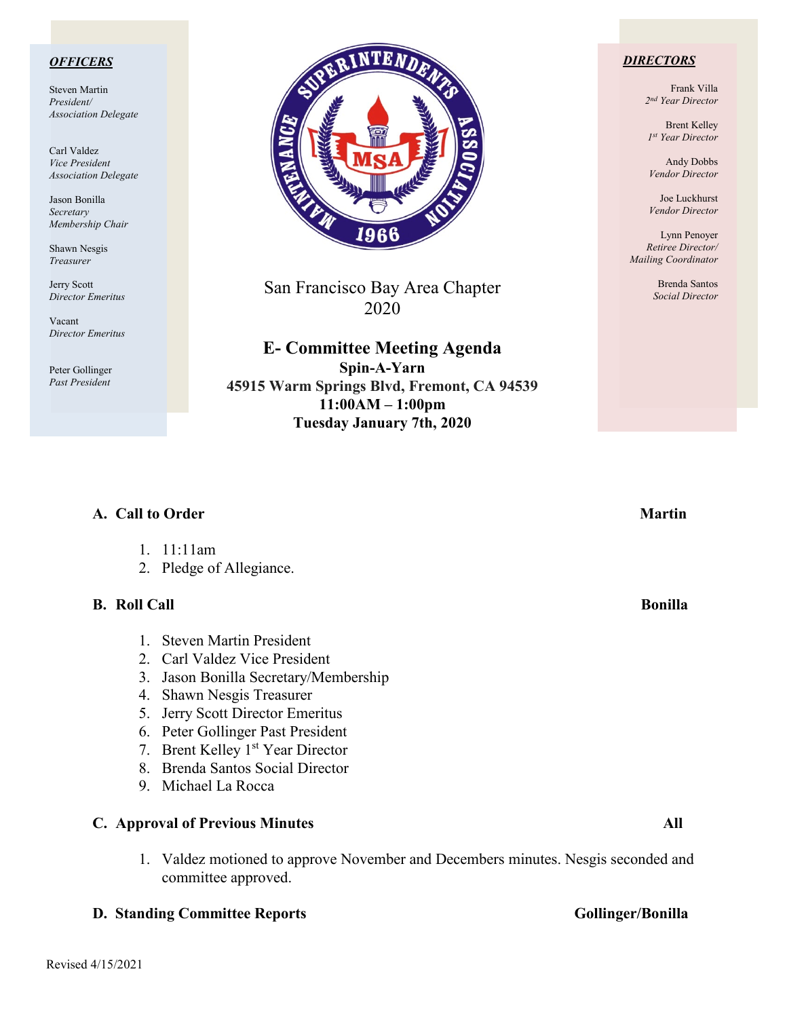### *OFFICERS*

Steven Martin *President/ Association Delegate*

Carl Valdez *Vice President Association Delegate*

Jason Bonilla *Secretary Membership Chair*

Shawn Nesgis *Treasurer*

Jerry Scott *Director Emeritus*

Vacant *Director Emeritus*

Peter Gollinger *Past President*



San Francisco Bay Area Chapter 2020

**E- Committee Meeting Agenda Spin-A-Yarn 45915 Warm Springs Blvd, Fremont, CA 94539 11:00AM – 1:00pm Tuesday January 7th, 2020**

### *DIRECTORS*

Frank Villa *2nd Year Director*

Brent Kelley *1st Year Director*

Andy Dobbs *Vendor Director*

Joe Luckhurst *Vendor Director*

Lynn Penoyer *Retiree Director/ Mailing Coordinator*

> Brenda Santos *Social Director*

| A. Call to Order    |                                            | <b>Martin</b>  |
|---------------------|--------------------------------------------|----------------|
|                     | 1. $11:11am$                               |                |
|                     | 2. Pledge of Allegiance.                   |                |
| <b>B.</b> Roll Call |                                            | <b>Bonilla</b> |
|                     | <b>Steven Martin President</b>             |                |
|                     | 2. Carl Valdez Vice President              |                |
| 3.                  | Jason Bonilla Secretary/Membership         |                |
| 4.                  | Shawn Nesgis Treasurer                     |                |
| 5.                  | Jerry Scott Director Emeritus              |                |
|                     | 6. Peter Gollinger Past President          |                |
| 7.                  | Brent Kelley 1 <sup>st</sup> Year Director |                |
|                     | 8. Brenda Santos Social Director           |                |
|                     | 9. Michael La Rocca                        |                |
|                     | <b>C.</b> Approval of Previous Minutes     | All            |
|                     |                                            |                |

1. Valdez motioned to approve November and Decembers minutes. Nesgis seconded and committee approved.

# **D. Standing Committee Reports Gollinger/Bonilla**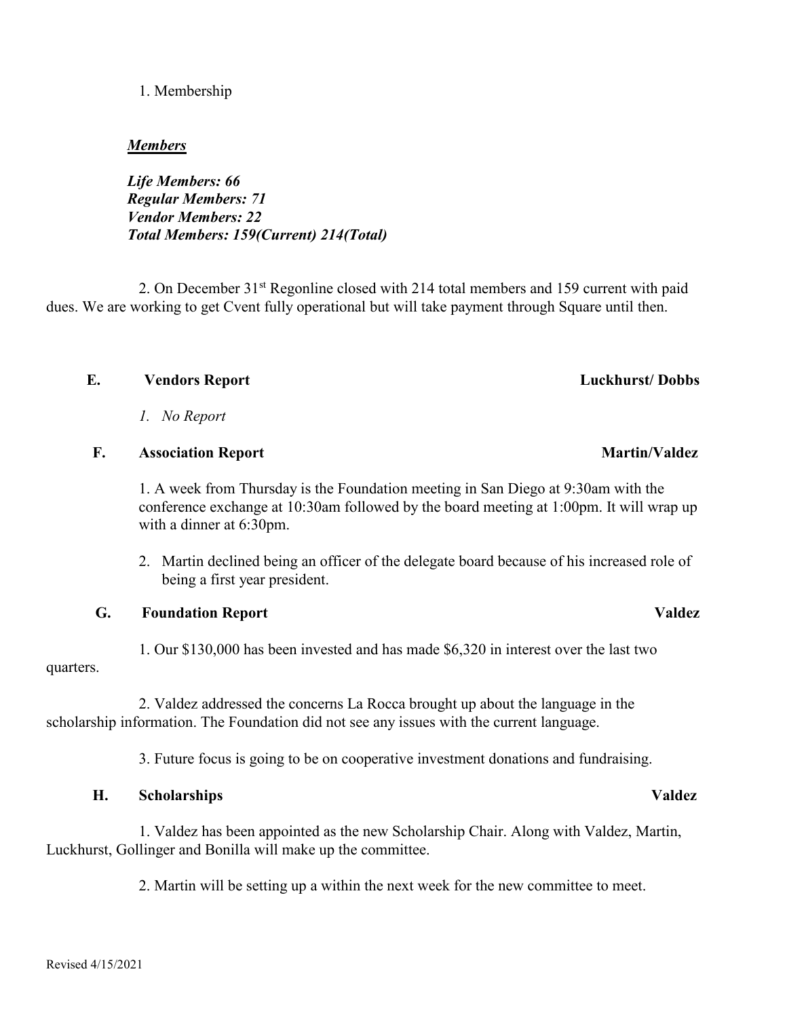# 1. Membership

## *Members*

*Life Members: 66 Regular Members: 71 Vendor Members: 22 Total Members: 159(Current) 214(Total)*

2. On December 31st Regonline closed with 214 total members and 159 current with paid dues. We are working to get Cvent fully operational but will take payment through Square until then.

# **E. Vendors Report Luckhurst/ Dobbs**

*1. No Report*

## **F.** Association Report Martin/Valdez

1. A week from Thursday is the Foundation meeting in San Diego at 9:30am with the conference exchange at 10:30am followed by the board meeting at 1:00pm. It will wrap up with a dinner at 6:30pm.

2. Martin declined being an officer of the delegate board because of his increased role of being a first year president.

# **G. Foundation Report Valdez**

1. Our \$130,000 has been invested and has made \$6,320 in interest over the last two quarters.

 2. Valdez addressed the concerns La Rocca brought up about the language in the scholarship information. The Foundation did not see any issues with the current language.

3. Future focus is going to be on cooperative investment donations and fundraising.

# **H. Scholarships Valdez**

 1. Valdez has been appointed as the new Scholarship Chair. Along with Valdez, Martin, Luckhurst, Gollinger and Bonilla will make up the committee.

2. Martin will be setting up a within the next week for the new committee to meet.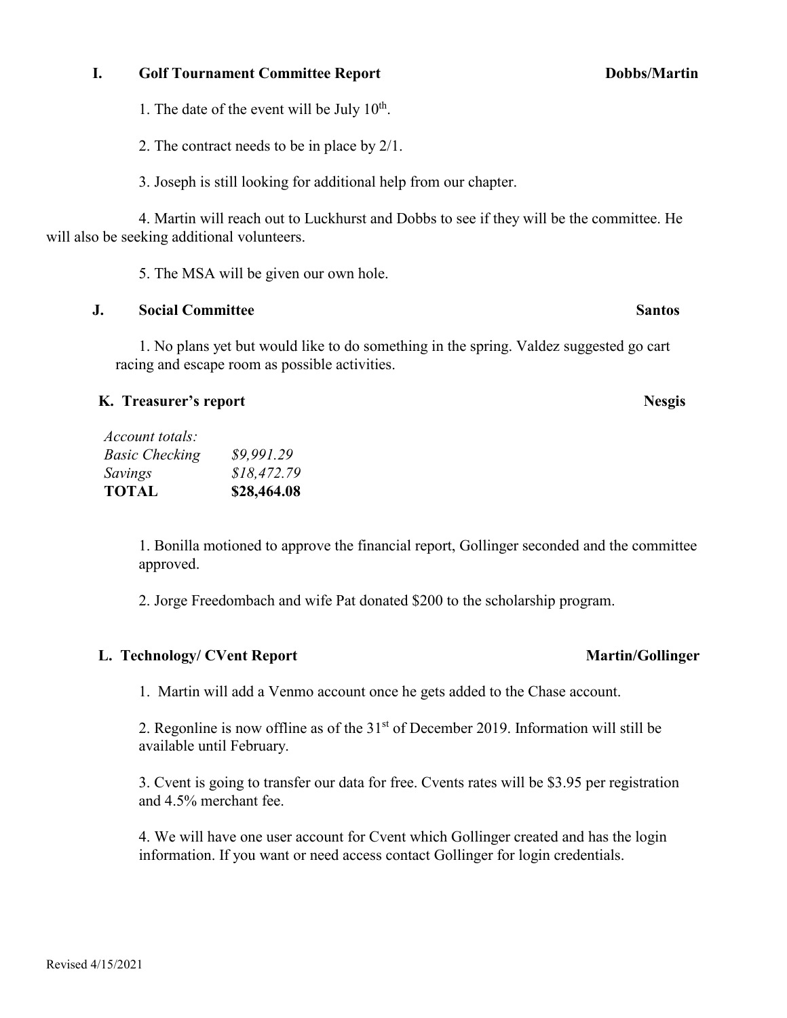### Revised 4/15/2021

### **I.** Golf Tournament Committee Report Dobbs/Martin

1. The date of the event will be July  $10^{th}$ .

2. The contract needs to be in place by 2/1.

3. Joseph is still looking for additional help from our chapter.

 4. Martin will reach out to Luckhurst and Dobbs to see if they will be the committee. He will also be seeking additional volunteers.

5. The MSA will be given our own hole.

# **J. Social Committee Santos**

1. No plans yet but would like to do something in the spring. Valdez suggested go cart racing and escape room as possible activities.

# **K. Treasurer's report Nesgis**

| <b>TOTAL</b>          | \$28,464.08 |
|-----------------------|-------------|
| Savings               | \$18,472,79 |
| <b>Basic Checking</b> | \$9,991.29  |
| Account totals:       |             |

1. Bonilla motioned to approve the financial report, Gollinger seconded and the committee approved.

2. Jorge Freedombach and wife Pat donated \$200 to the scholarship program.

# L. Technology/ CVent Report **Martin/Gollinger**

1. Martin will add a Venmo account once he gets added to the Chase account.

2. Regonline is now offline as of the  $31<sup>st</sup>$  of December 2019. Information will still be available until February.

3. Cvent is going to transfer our data for free. Cvents rates will be \$3.95 per registration and 4.5% merchant fee.

4. We will have one user account for Cvent which Gollinger created and has the login information. If you want or need access contact Gollinger for login credentials.